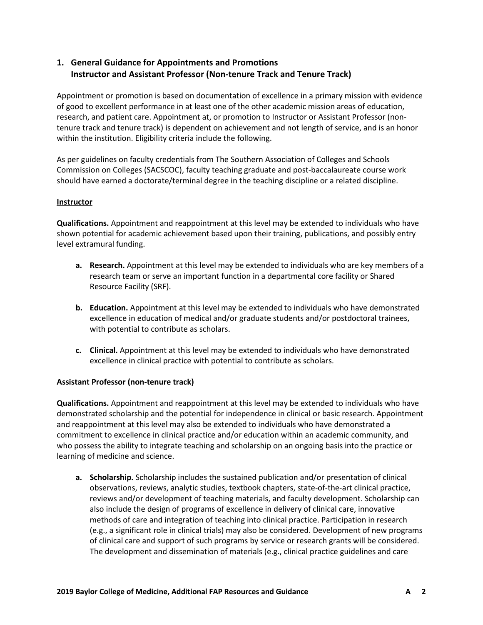## **1. General Guidance for Appointments and Promotions Instructor and Assistant Professor (Non-tenure Track and Tenure Track)**

Appointment or promotion is based on documentation of excellence in a primary mission with evidence of good to excellent performance in at least one of the other academic mission areas of education, research, and patient care. Appointment at, or promotion to Instructor or Assistant Professor (nontenure track and tenure track) is dependent on achievement and not length of service, and is an honor within the institution. Eligibility criteria include the following.

As per guidelines on faculty credentials from The Southern Association of Colleges and Schools Commission on Colleges (SACSCOC), faculty teaching graduate and post-baccalaureate course work should have earned a doctorate/terminal degree in the teaching discipline or a related discipline.

## **Instructor**

**Qualifications.** Appointment and reappointment at this level may be extended to individuals who have shown potential for academic achievement based upon their training, publications, and possibly entry level extramural funding.

- **a. Research.** Appointment at this level may be extended to individuals who are key members of a research team or serve an important function in a departmental core facility or Shared Resource Facility (SRF).
- **b. Education.** Appointment at this level may be extended to individuals who have demonstrated excellence in education of medical and/or graduate students and/or postdoctoral trainees, with potential to contribute as scholars.
- **c. Clinical.** Appointment at this level may be extended to individuals who have demonstrated excellence in clinical practice with potential to contribute as scholars.

## **Assistant Professor (non-tenure track)**

**Qualifications.** Appointment and reappointment at this level may be extended to individuals who have demonstrated scholarship and the potential for independence in clinical or basic research. Appointment and reappointment at this level may also be extended to individuals who have demonstrated a commitment to excellence in clinical practice and/or education within an academic community, and who possess the ability to integrate teaching and scholarship on an ongoing basis into the practice or learning of medicine and science.

**a. Scholarship.** Scholarship includes the sustained publication and/or presentation of clinical observations, reviews, analytic studies, textbook chapters, state-of-the-art clinical practice, reviews and/or development of teaching materials, and faculty development. Scholarship can also include the design of programs of excellence in delivery of clinical care, innovative methods of care and integration of teaching into clinical practice. Participation in research (e.g., a significant role in clinical trials) may also be considered. Development of new programs of clinical care and support of such programs by service or research grants will be considered. The development and dissemination of materials (e.g., clinical practice guidelines and care